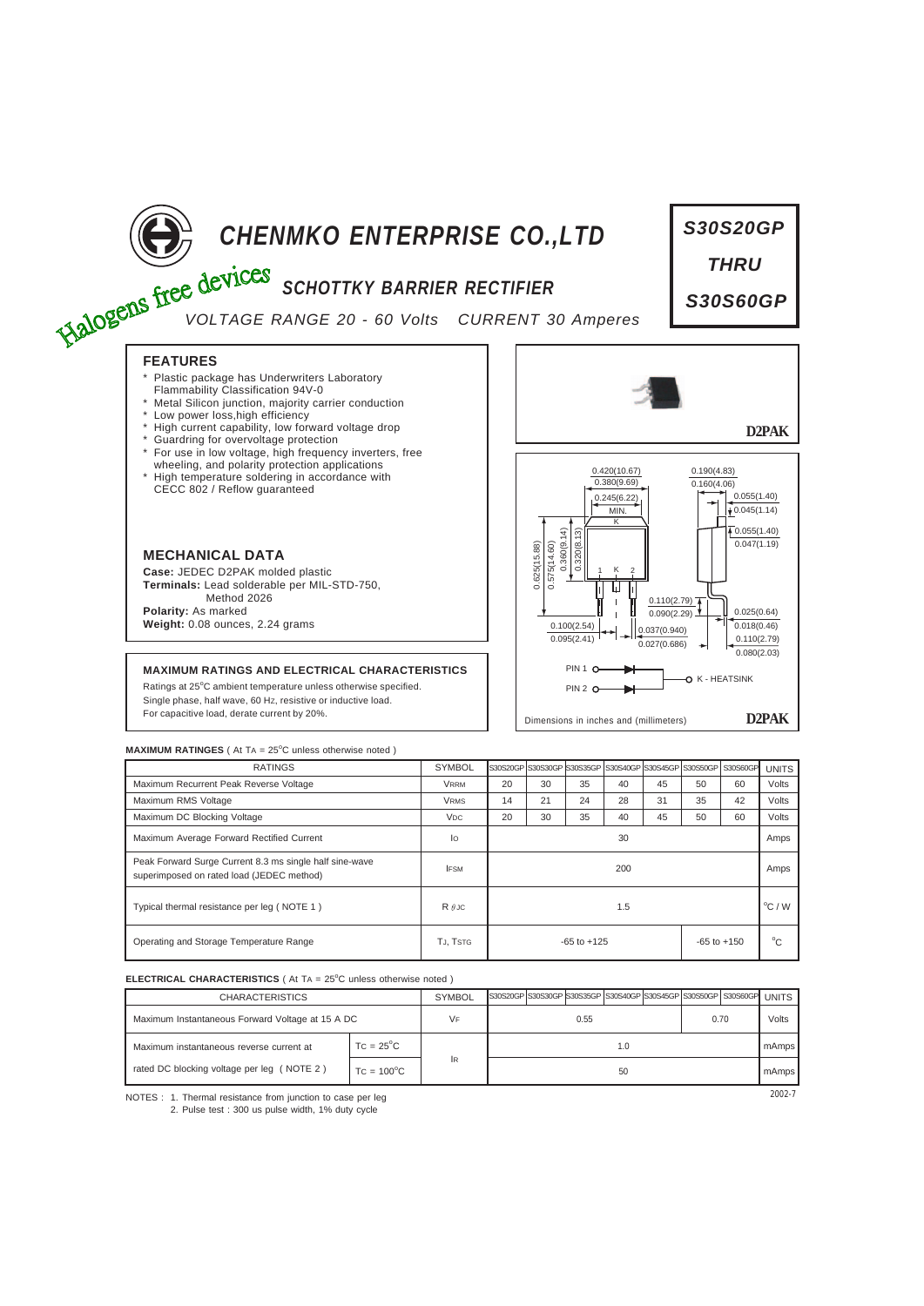

# **CHENMKO ENTERPRISE CO., LTD**<br> **EXALOGERS SCHOTTKY BARRIER RECTIFIER**

# *SCHOTTKY BARRIER RECTIFIER*

*VOLTAGE RANGE 20 - 60 Volts CURRENT 30 Amperes*

# **FEATURES**

- Plastic package has Underwriters Laboratory
- Flammability Classification 94V-0 \* Metal Silicon junction, majority carrier conduction
- \* Low power loss,high efficiency
- High current capability, low forward voltage drop
- Guardring for overvoltage protection
- For use in low voltage, high frequency inverters, free
- wheeling, and polarity protection applications \* High temperature soldering in accordance with CECC 802 / Reflow guaranteed



**Case:** JEDEC D2PAK molded plastic **Terminals:** Lead solderable per MIL-STD-750, Method 2026 **Polarity:** As marked **Weight:** 0.08 ounces, 2.24 grams

## **MAXIMUM RATINGS AND ELECTRICAL CHARACTERISTICS**

Ratings at 25°C ambient temperature unless otherwise specified. Single phase, half wave, 60 HZ, resistive or inductive load. For capacitive load, derate current by 20%.



*S30S20GP*

*THRU*

*S30S60GP*

### **MAXIMUM RATINGES** ( At TA = 25°C unless otherwise noted )

| <b>RATINGS</b>                                                                                       | <b>SYMBOL</b>   |                                    |    |    |    |    |    | Is30S20GP IS30S30GP IS30S35GP IS30S40GP IS30S45GP IS30S50GP I S30S60GP | <b>UNITS</b>     |
|------------------------------------------------------------------------------------------------------|-----------------|------------------------------------|----|----|----|----|----|------------------------------------------------------------------------|------------------|
| Maximum Recurrent Peak Reverse Voltage                                                               | <b>VRRM</b>     | 20                                 | 30 | 35 | 40 | 45 | 50 | 60                                                                     | Volts            |
| Maximum RMS Voltage                                                                                  | <b>VRMS</b>     | 14                                 | 21 | 24 | 28 | 31 | 35 | 42                                                                     | Volts            |
| Maximum DC Blocking Voltage                                                                          | V <sub>DC</sub> | 20                                 | 30 | 35 | 40 | 45 | 50 | 60                                                                     | Volts            |
| Maximum Average Forward Rectified Current                                                            | lo              | 30                                 |    |    |    |    |    |                                                                        | Amps             |
| Peak Forward Surge Current 8.3 ms single half sine-wave<br>superimposed on rated load (JEDEC method) | <b>IFSM</b>     | 200                                |    |    |    |    |    |                                                                        | Amps             |
| Typical thermal resistance per leg (NOTE 1)                                                          | $R \theta$ JC   | 1.5                                |    |    |    |    |    |                                                                        | $^{\circ}$ C / W |
| Operating and Storage Temperature Range                                                              | TJ, TSTG        | $-65$ to $+125$<br>$-65$ to $+150$ |    |    |    |    |    | °C                                                                     |                  |

### **ELECTRICAL CHARACTERISTICS** ( At TA = 25°C unless otherwise noted )

| <b>CHARACTERISTICS</b>                           |                     | <b>SYMBOL</b> |      |  |  |  |  |      | S30S20GP S30S30GP S30S35GP S30S40GP S30S45GP S30S50GP S30S60GP UNITS |       |
|--------------------------------------------------|---------------------|---------------|------|--|--|--|--|------|----------------------------------------------------------------------|-------|
| Maximum Instantaneous Forward Voltage at 15 A DC |                     | VF            | 0.55 |  |  |  |  | 0.70 |                                                                      | Volts |
| Maximum instantaneous reverse current at         | $TC = 25^{\circ}C$  |               | 1.0  |  |  |  |  |      |                                                                      | mAmps |
| rated DC blocking voltage per leg (NOTE 2)       | $TC = 100^{\circ}C$ | <b>IR</b>     | 50   |  |  |  |  |      |                                                                      | mAmps |

NOTES : 2002-7 1. Thermal resistance from junction to case per leg 2. Pulse test : 300 us pulse width, 1% duty cycle